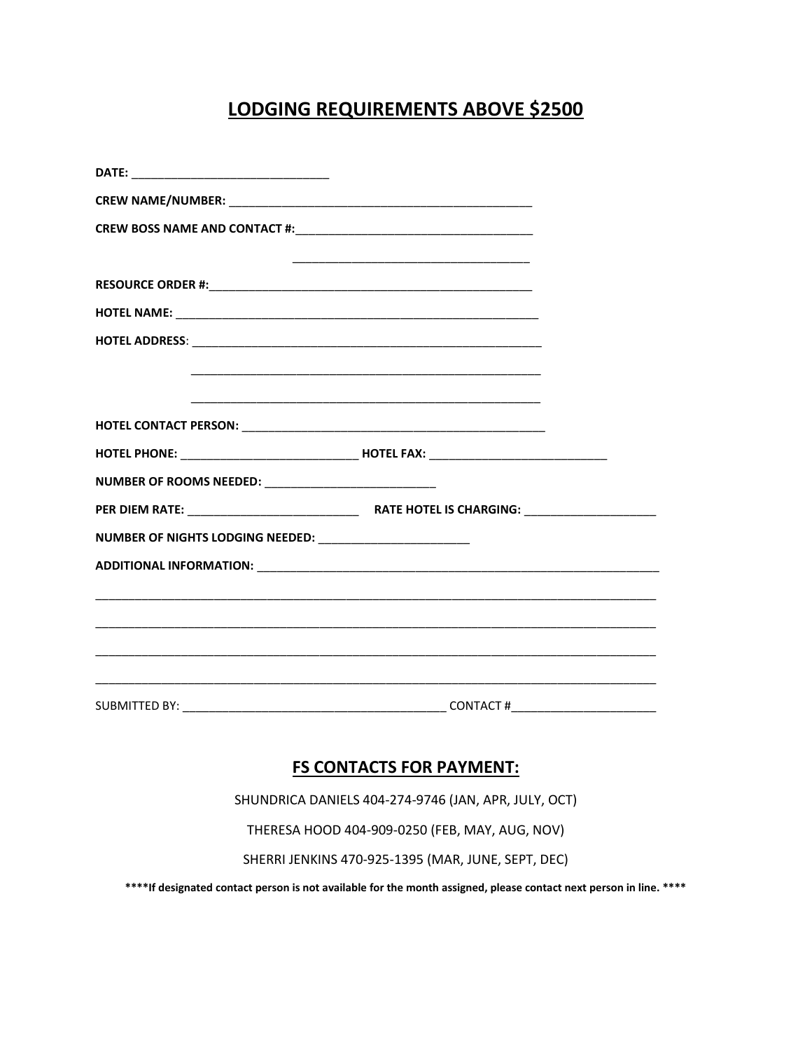## LODGING REQUIREMENTS ABOVE \$2500

| NUMBER OF ROOMS NEEDED: _______________________________     |  |
|-------------------------------------------------------------|--|
|                                                             |  |
| NUMBER OF NIGHTS LODGING NEEDED: __________________________ |  |
|                                                             |  |
|                                                             |  |
|                                                             |  |
|                                                             |  |
|                                                             |  |
|                                                             |  |
|                                                             |  |

## **FS CONTACTS FOR PAYMENT:**

SHUNDRICA DANIELS 404-274-9746 (JAN, APR, JULY, OCT)

THERESA HOOD 404-909-0250 (FEB, MAY, AUG, NOV)

SHERRI JENKINS 470-925-1395 (MAR, JUNE, SEPT, DEC)

\*\*\*\*If designated contact person is not available for the month assigned, please contact next person in line. \*\*\*\*